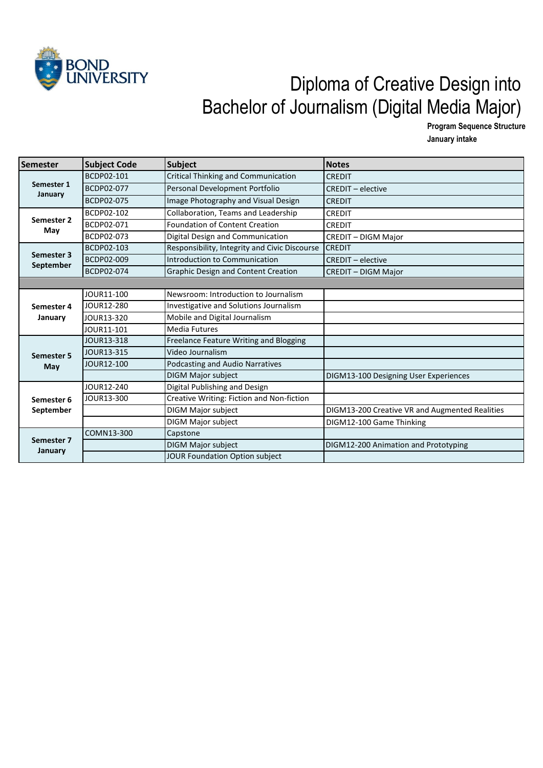

## Diploma of Creative Design into Bachelor of Journalism (Digital Media Major)

**Program Sequence Structure**

**January intake**

| <b>Semester</b>         | <b>Subject Code</b> | Subject                                       | <b>Notes</b>                                   |
|-------------------------|---------------------|-----------------------------------------------|------------------------------------------------|
| Semester 1<br>January   | BCDP02-101          | <b>Critical Thinking and Communication</b>    | <b>CREDIT</b>                                  |
|                         | BCDP02-077          | Personal Development Portfolio                | <b>CREDIT - elective</b>                       |
|                         | BCDP02-075          | Image Photography and Visual Design           | <b>CREDIT</b>                                  |
| Semester 2<br>May       | BCDP02-102          | Collaboration, Teams and Leadership           | <b>CREDIT</b>                                  |
|                         | BCDP02-071          | Foundation of Content Creation                | <b>CREDIT</b>                                  |
|                         | BCDP02-073          | Digital Design and Communication              | <b>CREDIT - DIGM Major</b>                     |
| Semester 3<br>September | BCDP02-103          | Responsibility, Integrity and Civic Discourse | <b>CREDIT</b>                                  |
|                         | BCDP02-009          | Introduction to Communication                 | <b>CREDIT - elective</b>                       |
|                         | <b>BCDP02-074</b>   | <b>Graphic Design and Content Creation</b>    | <b>CREDIT - DIGM Major</b>                     |
|                         |                     |                                               |                                                |
|                         | JOUR11-100          | Newsroom: Introduction to Journalism          |                                                |
| Semester 4<br>January   | JOUR12-280          | Investigative and Solutions Journalism        |                                                |
|                         | JOUR13-320          | Mobile and Digital Journalism                 |                                                |
|                         | JOUR11-101          | <b>Media Futures</b>                          |                                                |
|                         | JOUR13-318          | Freelance Feature Writing and Blogging        |                                                |
| Semester 5              | JOUR13-315          | Video Journalism                              |                                                |
| May                     | JOUR12-100          | Podcasting and Audio Narratives               |                                                |
|                         |                     | DIGM Major subject                            | DIGM13-100 Designing User Experiences          |
| Semester 6<br>September | JOUR12-240          | Digital Publishing and Design                 |                                                |
|                         | JOUR13-300          | Creative Writing: Fiction and Non-fiction     |                                                |
|                         |                     | DIGM Major subject                            | DIGM13-200 Creative VR and Augmented Realities |
|                         |                     | <b>DIGM Major subject</b>                     | DIGM12-100 Game Thinking                       |
| Semester 7<br>January   | COMN13-300          | Capstone                                      |                                                |
|                         |                     | <b>DIGM Major subject</b>                     | DIGM12-200 Animation and Prototyping           |
|                         |                     | JOUR Foundation Option subject                |                                                |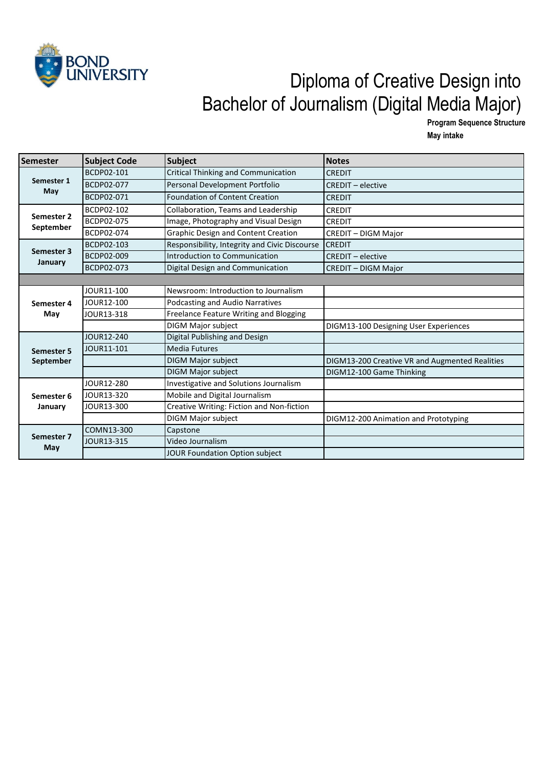

## Diploma of Creative Design into Bachelor of Journalism (Digital Media Major)

**Program Sequence Structure May intake**

| <b>Semester</b>                | <b>Subject Code</b> | <b>Subject</b>                                | <b>Notes</b>                                   |
|--------------------------------|---------------------|-----------------------------------------------|------------------------------------------------|
| Semester 1<br>May              | BCDP02-101          | <b>Critical Thinking and Communication</b>    | <b>CREDIT</b>                                  |
|                                | <b>BCDP02-077</b>   | Personal Development Portfolio                | <b>CREDIT - elective</b>                       |
|                                | BCDP02-071          | <b>Foundation of Content Creation</b>         | <b>CREDIT</b>                                  |
| Semester 2<br>September        | BCDP02-102          | Collaboration, Teams and Leadership           | <b>CREDIT</b>                                  |
|                                | BCDP02-075          | Image, Photography and Visual Design          | <b>CREDIT</b>                                  |
|                                | BCDP02-074          | <b>Graphic Design and Content Creation</b>    | <b>CREDIT - DIGM Major</b>                     |
| Semester 3<br>January          | BCDP02-103          | Responsibility, Integrity and Civic Discourse | <b>CREDIT</b>                                  |
|                                | <b>BCDP02-009</b>   | Introduction to Communication                 | <b>CREDIT - elective</b>                       |
|                                | <b>BCDP02-073</b>   | Digital Design and Communication              | <b>CREDIT - DIGM Major</b>                     |
|                                |                     |                                               |                                                |
| Semester 4<br>May              | JOUR11-100          | Newsroom: Introduction to Journalism          |                                                |
|                                | JOUR12-100          | Podcasting and Audio Narratives               |                                                |
|                                | JOUR13-318          | Freelance Feature Writing and Blogging        |                                                |
|                                |                     | DIGM Major subject                            | DIGM13-100 Designing User Experiences          |
| <b>Semester 5</b><br>September | JOUR12-240          | Digital Publishing and Design                 |                                                |
|                                | JOUR11-101          | <b>Media Futures</b>                          |                                                |
|                                |                     | DIGM Major subject                            | DIGM13-200 Creative VR and Augmented Realities |
|                                |                     | DIGM Major subject                            | DIGM12-100 Game Thinking                       |
| Semester 6<br>January          | JOUR12-280          | Investigative and Solutions Journalism        |                                                |
|                                | JOUR13-320          | Mobile and Digital Journalism                 |                                                |
|                                | JOUR13-300          | Creative Writing: Fiction and Non-fiction     |                                                |
|                                |                     | DIGM Major subject                            | DIGM12-200 Animation and Prototyping           |
| Semester 7<br>May              | COMN13-300          | Capstone                                      |                                                |
|                                | JOUR13-315          | Video Journalism                              |                                                |
|                                |                     | JOUR Foundation Option subject                |                                                |